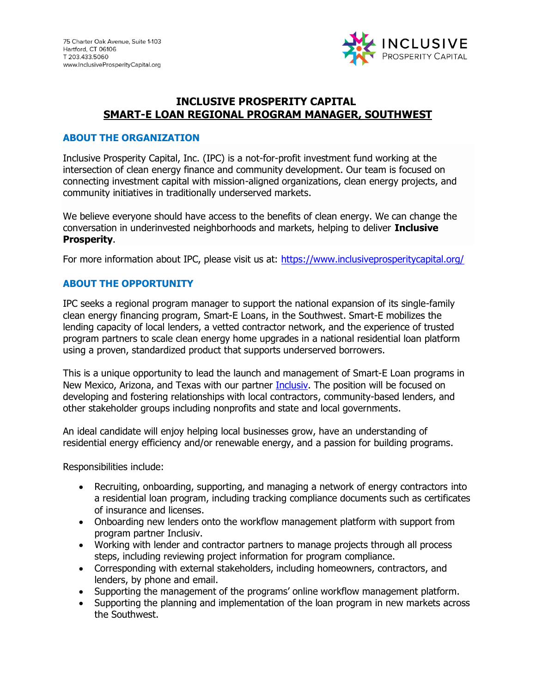

### **INCLUSIVE PROSPERITY CAPITAL SMART-E LOAN REGIONAL PROGRAM MANAGER, SOUTHWEST**

#### **ABOUT THE ORGANIZATION**

Inclusive Prosperity Capital, Inc. (IPC) is a not-for-profit investment fund working at the intersection of clean energy finance and community development. Our team is focused on connecting investment capital with mission-aligned organizations, clean energy projects, and community initiatives in traditionally underserved markets.

We believe everyone should have access to the benefits of clean energy. We can change the conversation in underinvested neighborhoods and markets, helping to deliver **Inclusive Prosperity**.

For more information about IPC, please visit us at: https://www.inclusiveprosperitycapital.org/

### **ABOUT THE OPPORTUNITY**

IPC seeks a regional program manager to support the national expansion of its single-family clean energy financing program, [Smart-E Loans,](https://www.inclusiveprosperitycapital.org/smart-e-loan/) in the Southwest. Smart-E mobilizes the lending capacity of local lenders, a vetted contractor network, and the experience of trusted program partners to scale clean energy home upgrades in a national residential loan platform using a proven, standardized product that supports underserved borrowers.

This is a unique opportunity to lead the launch and management of Smart-E Loan programs in New Mexico, Arizona, and Texas with our partner [Inclusiv.](http://www.inclusiv.org/) The position will be focused on developing and fostering relationships with local contractors, community-based lenders, and other stakeholder groups including nonprofits and state and local governments.

An ideal candidate will enjoy helping local businesses grow, have an understanding of residential energy efficiency and/or renewable energy, and a passion for building programs.

Responsibilities include:

- Recruiting, onboarding, supporting, and managing a network of energy contractors into a residential loan program, including tracking compliance documents such as certificates of insurance and licenses.
- Onboarding new lenders onto the workflow management platform with support from program partner Inclusiv.
- Working with lender and contractor partners to manage projects through all process steps, including reviewing project information for program compliance.
- Corresponding with external stakeholders, including homeowners, contractors, and lenders, by phone and email.
- Supporting the management of the programs' online workflow management platform.
- Supporting the planning and implementation of the loan program in new markets across the Southwest.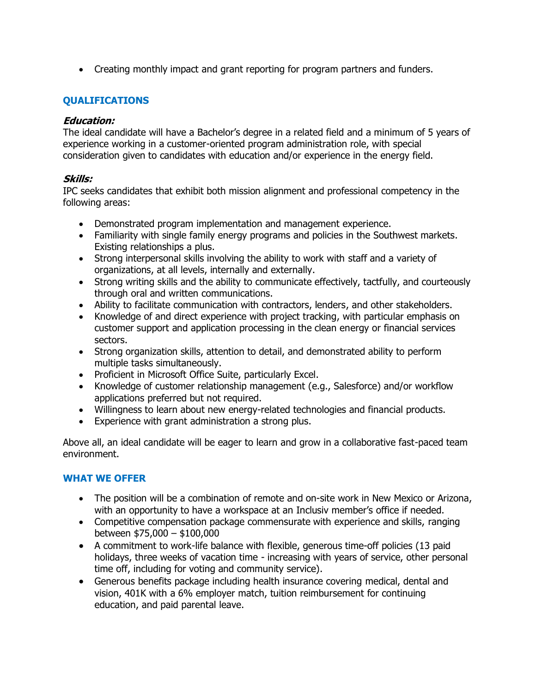• Creating monthly impact and grant reporting for program partners and funders.

## **QUALIFICATIONS**

### **Education:**

The ideal candidate will have a Bachelor's degree in a related field and a minimum of 5 years of experience working in a customer-oriented program administration role, with special consideration given to candidates with education and/or experience in the energy field.

### **Skills:**

IPC seeks candidates that exhibit both mission alignment and professional competency in the following areas:

- Demonstrated program implementation and management experience.
- Familiarity with single family energy programs and policies in the Southwest markets. Existing relationships a plus.
- Strong interpersonal skills involving the ability to work with staff and a variety of organizations, at all levels, internally and externally.
- Strong writing skills and the ability to communicate effectively, tactfully, and courteously through oral and written communications.
- Ability to facilitate communication with contractors, lenders, and other stakeholders.
- Knowledge of and direct experience with project tracking, with particular emphasis on customer support and application processing in the clean energy or financial services sectors.
- Strong organization skills, attention to detail, and demonstrated ability to perform multiple tasks simultaneously.
- Proficient in Microsoft Office Suite, particularly Excel.
- Knowledge of customer relationship management (e.g., Salesforce) and/or workflow applications preferred but not required.
- Willingness to learn about new energy-related technologies and financial products.
- Experience with grant administration a strong plus.

Above all, an ideal candidate will be eager to learn and grow in a collaborative fast-paced team environment.

# **WHAT WE OFFER**

- The position will be a combination of remote and on-site work in New Mexico or Arizona, with an opportunity to have a workspace at an Inclusiv member's office if needed.
- Competitive compensation package commensurate with experience and skills, ranging between \$75,000 – \$100,000
- A commitment to work-life balance with flexible, generous time-off policies (13 paid holidays, three weeks of vacation time - increasing with years of service, other personal time off, including for voting and community service).
- Generous benefits package including health insurance covering medical, dental and vision, 401K with a 6% employer match, tuition reimbursement for continuing education, and paid parental leave.